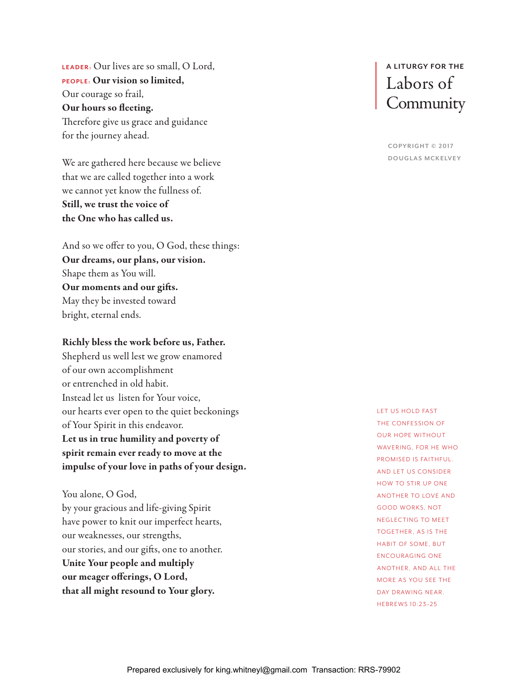**LEADER:** Our lives are so small, O Lord, **PEOPLE:** Our vision so limited, Our courage so frail, Our hours so fleeting. Therefore give us grace and guidance

for the journey ahead.

We are gathered here because we believe that we are called together into a work we cannot yet know the fullness of. Still, we trust the voice of the One who has called us.

And so we offer to you, O God, these things: Our dreams, our plans, our vision. Shape them as You will. Our moments and our gifts. May they be invested toward bright, eternal ends.

## Richly bless the work before us, Father.

Shepherd us well lest we grow enamored of our own accomplishment or entrenched in old habit. Instead let us listen for Your voice, our hearts ever open to the quiet beckonings of Your Spirit in this endeavor. Let us in true humility and poverty of spirit remain ever ready to move at the impulse of your love in paths of your design.

## You alone, O God,

by your gracious and life-giving Spirit have power to knit our imperfect hearts, our weaknesses, our strengths, our stories, and our gifts, one to another. Unite Your people and multiply our meager offerings, O Lord, that all might resound to Your glory.

## **A LITURGY FOR THE** Labors of Community

**COPYRIGHT © 2017 D O U G L A S M C K E LV E Y**

LET US HOLD FAST THE CONFESSION OF OUR HOPE WITHOUT WAVERING, FOR HE WHO PROMISED IS FAITHFUL. AND LET US CONSIDER HOW TO STIR UP ONE ANOTHER TO LOVE AND **GOOD WORKS, NOT** NEGLECTING TO MEET TO GETHER, AS IS THE HABIT OF SOME, BUT EN COURAGING ONE ANOTHER, AND ALL THE MORE AS YOU SEE THE DAY DRAWING NEAR. HEBREWS 10:23–25